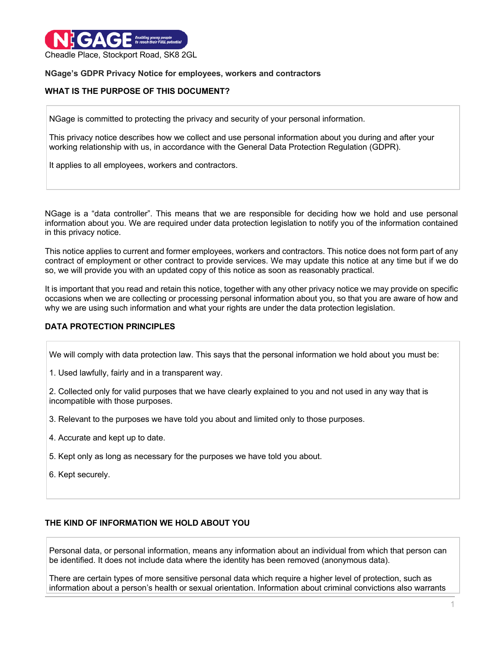

### **NGage's GDPR Privacy Notice for employees, workers and contractors**

## **WHAT IS THE PURPOSE OF THIS DOCUMENT?**

NGage is committed to protecting the privacy and security of your personal information.

This privacy notice describes how we collect and use personal information about you during and after your working relationship with us, in accordance with the General Data Protection Regulation (GDPR).

It applies to all employees, workers and contractors.

NGage is a "data controller". This means that we are responsible for deciding how we hold and use personal information about you. We are required under data protection legislation to notify you of the information contained in this privacy notice.

This notice applies to current and former employees, workers and contractors. This notice does not form part of any contract of employment or other contract to provide services. We may update this notice at any time but if we do so, we will provide you with an updated copy of this notice as soon as reasonably practical.

It is important that you read and retain this notice, together with any other privacy notice we may provide on specific occasions when we are collecting or processing personal information about you, so that you are aware of how and why we are using such information and what your rights are under the data protection legislation.

## **DATA PROTECTION PRINCIPLES**

We will comply with data protection law. This says that the personal information we hold about you must be:

1. Used lawfully, fairly and in a transparent way.

2. Collected only for valid purposes that we have clearly explained to you and not used in any way that is incompatible with those purposes.

3. Relevant to the purposes we have told you about and limited only to those purposes.

- 4. Accurate and kept up to date.
- 5. Kept only as long as necessary for the purposes we have told you about.
- 6. Kept securely.

## **THE KIND OF INFORMATION WE HOLD ABOUT YOU**

Personal data, or personal information, means any information about an individual from which that person can be identified. It does not include data where the identity has been removed (anonymous data).

There are certain types of more sensitive personal data which require a higher level of protection, such as information about a person's health or sexual orientation. Information about criminal convictions also warrants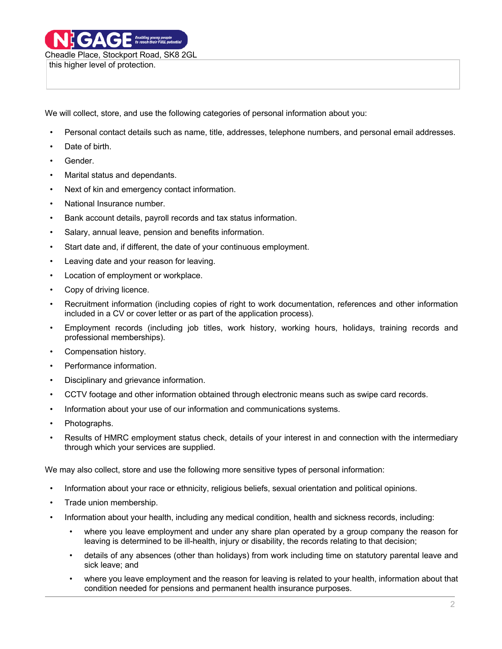We will collect, store, and use the following categories of personal information about you:

- Personal contact details such as name, title, addresses, telephone numbers, and personal email addresses.
- Date of birth.
- Gender.
- Marital status and dependants.
- Next of kin and emergency contact information.
- National Insurance number.
- Bank account details, payroll records and tax status information.
- Salary, annual leave, pension and benefits information.
- Start date and, if different, the date of your continuous employment.
- Leaving date and your reason for leaving.
- Location of employment or workplace.
- Copy of driving licence.
- Recruitment information (including copies of right to work documentation, references and other information included in a CV or cover letter or as part of the application process).
- Employment records (including job titles, work history, working hours, holidays, training records and professional memberships).
- Compensation history.
- Performance information.
- Disciplinary and grievance information.
- CCTV footage and other information obtained through electronic means such as swipe card records.
- Information about your use of our information and communications systems.
- Photographs.
- Results of HMRC employment status check, details of your interest in and connection with the intermediary through which your services are supplied.

We may also collect, store and use the following more sensitive types of personal information:

- Information about your race or ethnicity, religious beliefs, sexual orientation and political opinions.
- Trade union membership.
- Information about your health, including any medical condition, health and sickness records, including:
	- where you leave employment and under any share plan operated by a group company the reason for leaving is determined to be ill-health, injury or disability, the records relating to that decision;
	- details of any absences (other than holidays) from work including time on statutory parental leave and sick leave; and
	- where you leave employment and the reason for leaving is related to your health, information about that condition needed for pensions and permanent health insurance purposes.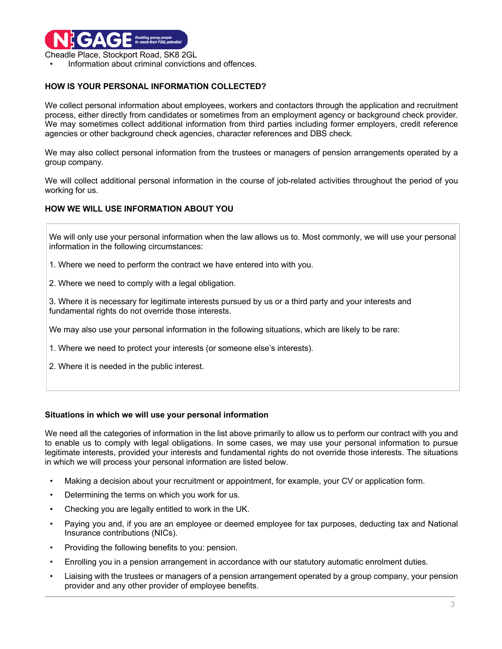

Information about criminal convictions and offences.

# **HOW IS YOUR PERSONAL INFORMATION COLLECTED?**

We collect personal information about employees, workers and contactors through the application and recruitment process, either directly from candidates or sometimes from an employment agency or background check provider. We may sometimes collect additional information from third parties including former employers, credit reference agencies or other background check agencies, character references and DBS check.

We may also collect personal information from the trustees or managers of pension arrangements operated by a group company.

We will collect additional personal information in the course of job-related activities throughout the period of you working for us.

### **HOW WE WILL USE INFORMATION ABOUT YOU**

We will only use your personal information when the law allows us to. Most commonly, we will use your personal information in the following circumstances:

- 1. Where we need to perform the contract we have entered into with you.
- 2. Where we need to comply with a legal obligation.

3. Where it is necessary for legitimate interests pursued by us or a third party and your interests and fundamental rights do not override those interests.

We may also use your personal information in the following situations, which are likely to be rare:

- 1. Where we need to protect your interests (or someone else's interests).
- 2. Where it is needed in the public interest.

#### **Situations in which we will use your personal information**

We need all the categories of information in the list above primarily to allow us to perform our contract with you and to enable us to comply with legal obligations. In some cases, we may use your personal information to pursue legitimate interests, provided your interests and fundamental rights do not override those interests. The situations in which we will process your personal information are listed below.

- Making a decision about your recruitment or appointment, for example, your CV or application form.
- Determining the terms on which you work for us.
- Checking you are legally entitled to work in the UK.
- Paying you and, if you are an employee or deemed employee for tax purposes, deducting tax and National Insurance contributions (NICs).
- Providing the following benefits to you: pension.
- Enrolling you in a pension arrangement in accordance with our statutory automatic enrolment duties.
- Liaising with the trustees or managers of a pension arrangement operated by a group company, your pension provider and any other provider of employee benefits.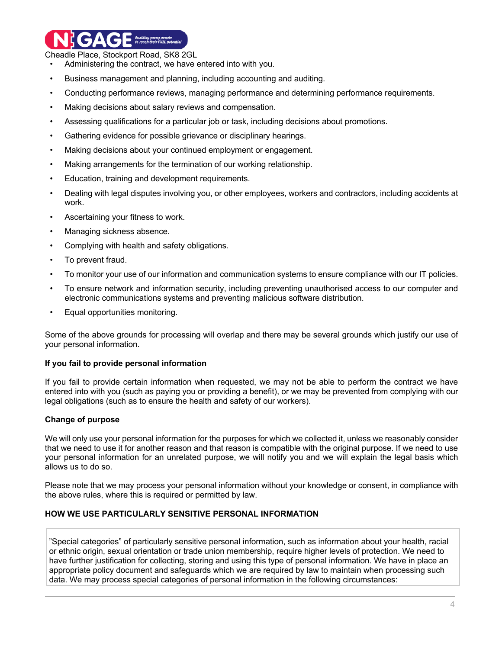**COLORED Expabling young people** 

Cheadle Place, Stockport Road, SK8 2GL

- Administering the contract, we have entered into with you.
- Business management and planning, including accounting and auditing.
- Conducting performance reviews, managing performance and determining performance requirements.
- Making decisions about salary reviews and compensation.
- Assessing qualifications for a particular job or task, including decisions about promotions.
- Gathering evidence for possible grievance or disciplinary hearings.
- Making decisions about your continued employment or engagement.
- Making arrangements for the termination of our working relationship.
- Education, training and development requirements.
- Dealing with legal disputes involving you, or other employees, workers and contractors, including accidents at work.
- Ascertaining your fitness to work.
- Managing sickness absence.
- Complying with health and safety obligations.
- To prevent fraud.
- To monitor your use of our information and communication systems to ensure compliance with our IT policies.
- To ensure network and information security, including preventing unauthorised access to our computer and electronic communications systems and preventing malicious software distribution.
- Equal opportunities monitoring.

Some of the above grounds for processing will overlap and there may be several grounds which justify our use of your personal information.

#### **If you fail to provide personal information**

If you fail to provide certain information when requested, we may not be able to perform the contract we have entered into with you (such as paying you or providing a benefit), or we may be prevented from complying with our legal obligations (such as to ensure the health and safety of our workers).

## **Change of purpose**

We will only use your personal information for the purposes for which we collected it, unless we reasonably consider that we need to use it for another reason and that reason is compatible with the original purpose. If we need to use your personal information for an unrelated purpose, we will notify you and we will explain the legal basis which allows us to do so.

Please note that we may process your personal information without your knowledge or consent, in compliance with the above rules, where this is required or permitted by law.

## **HOW WE USE PARTICULARLY SENSITIVE PERSONAL INFORMATION**

"Special categories" of particularly sensitive personal information, such as information about your health, racial or ethnic origin, sexual orientation or trade union membership, require higher levels of protection. We need to have further justification for collecting, storing and using this type of personal information. We have in place an appropriate policy document and safeguards which we are required by law to maintain when processing such data. We may process special categories of personal information in the following circumstances: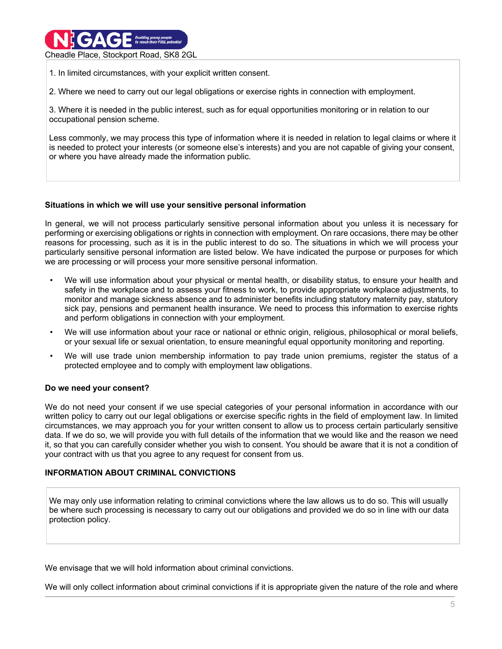

1. In limited circumstances, with your explicit written consent.

2. Where we need to carry out our legal obligations or exercise rights in connection with employment.

3. Where it is needed in the public interest, such as for equal opportunities monitoring or in relation to our occupational pension scheme.

Less commonly, we may process this type of information where it is needed in relation to legal claims or where it is needed to protect your interests (or someone else's interests) and you are not capable of giving your consent, or where you have already made the information public.

### **Situations in which we will use your sensitive personal information**

In general, we will not process particularly sensitive personal information about you unless it is necessary for performing or exercising obligations or rights in connection with employment. On rare occasions, there may be other reasons for processing, such as it is in the public interest to do so. The situations in which we will process your particularly sensitive personal information are listed below. We have indicated the purpose or purposes for which we are processing or will process your more sensitive personal information.

- We will use information about your physical or mental health, or disability status, to ensure your health and safety in the workplace and to assess your fitness to work, to provide appropriate workplace adjustments, to monitor and manage sickness absence and to administer benefits including statutory maternity pay, statutory sick pay, pensions and permanent health insurance. We need to process this information to exercise rights and perform obligations in connection with your employment.
- We will use information about your race or national or ethnic origin, religious, philosophical or moral beliefs, or your sexual life or sexual orientation, to ensure meaningful equal opportunity monitoring and reporting.
- We will use trade union membership information to pay trade union premiums, register the status of a protected employee and to comply with employment law obligations.

## **Do we need your consent?**

We do not need your consent if we use special categories of your personal information in accordance with our written policy to carry out our legal obligations or exercise specific rights in the field of employment law. In limited circumstances, we may approach you for your written consent to allow us to process certain particularly sensitive data. If we do so, we will provide you with full details of the information that we would like and the reason we need it, so that you can carefully consider whether you wish to consent. You should be aware that it is not a condition of your contract with us that you agree to any request for consent from us.

## **INFORMATION ABOUT CRIMINAL CONVICTIONS**

We may only use information relating to criminal convictions where the law allows us to do so. This will usually be where such processing is necessary to carry out our obligations and provided we do so in line with our data protection policy.

We envisage that we will hold information about criminal convictions.

We will only collect information about criminal convictions if it is appropriate given the nature of the role and where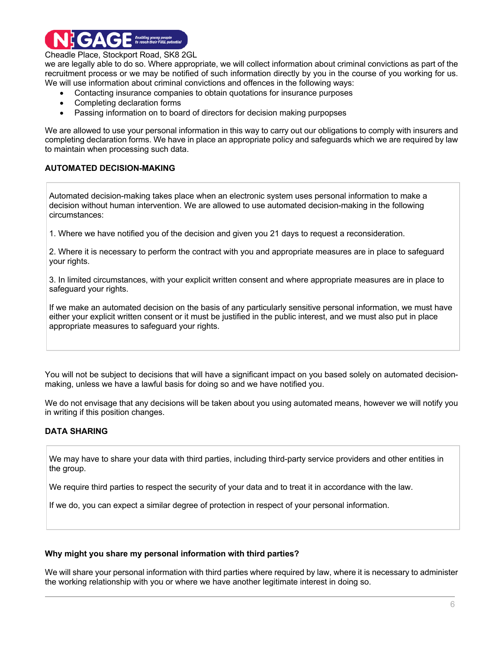

we are legally able to do so. Where appropriate, we will collect information about criminal convictions as part of the recruitment process or we may be notified of such information directly by you in the course of you working for us. We will use information about criminal convictions and offences in the following ways:

- Contacting insurance companies to obtain quotations for insurance purposes
- Completing declaration forms
- Passing information on to board of directors for decision making purpopses

We are allowed to use your personal information in this way to carry out our obligations to comply with insurers and completing declaration forms. We have in place an appropriate policy and safeguards which we are required by law to maintain when processing such data.

### **AUTOMATED DECISION-MAKING**

Automated decision-making takes place when an electronic system uses personal information to make a decision without human intervention. We are allowed to use automated decision-making in the following circumstances:

1. Where we have notified you of the decision and given you 21 days to request a reconsideration.

2. Where it is necessary to perform the contract with you and appropriate measures are in place to safeguard your rights.

3. In limited circumstances, with your explicit written consent and where appropriate measures are in place to safeguard your rights.

If we make an automated decision on the basis of any particularly sensitive personal information, we must have either your explicit written consent or it must be justified in the public interest, and we must also put in place appropriate measures to safeguard your rights.

You will not be subject to decisions that will have a significant impact on you based solely on automated decisionmaking, unless we have a lawful basis for doing so and we have notified you.

We do not envisage that any decisions will be taken about you using automated means, however we will notify you in writing if this position changes.

## **DATA SHARING**

We may have to share your data with third parties, including third-party service providers and other entities in the group.

We require third parties to respect the security of your data and to treat it in accordance with the law.

If we do, you can expect a similar degree of protection in respect of your personal information.

#### **Why might you share my personal information with third parties?**

We will share your personal information with third parties where required by law, where it is necessary to administer the working relationship with you or where we have another legitimate interest in doing so.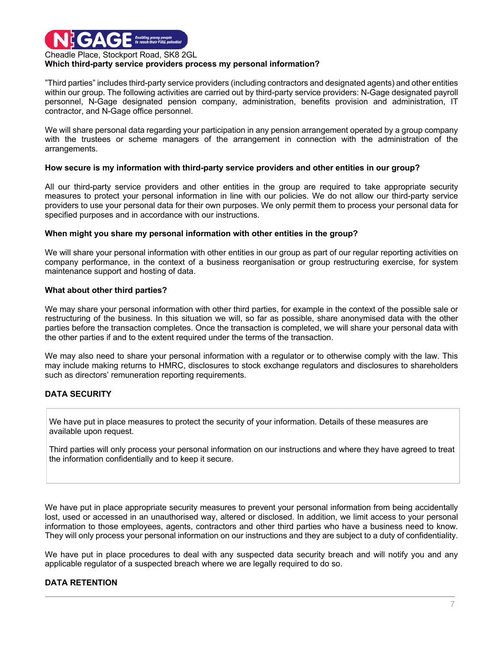

#### **Which third-party service providers process my personal information?**

"Third parties" includes third-party service providers (including contractors and designated agents) and other entities within our group. The following activities are carried out by third-party service providers: N-Gage designated payroll personnel, N-Gage designated pension company, administration, benefits provision and administration, IT contractor, and N-Gage office personnel.

We will share personal data regarding your participation in any pension arrangement operated by a group company with the trustees or scheme managers of the arrangement in connection with the administration of the arrangements.

#### **How secure is my information with third-party service providers and other entities in our group?**

All our third-party service providers and other entities in the group are required to take appropriate security measures to protect your personal information in line with our policies. We do not allow our third-party service providers to use your personal data for their own purposes. We only permit them to process your personal data for specified purposes and in accordance with our instructions.

#### **When might you share my personal information with other entities in the group?**

We will share your personal information with other entities in our group as part of our regular reporting activities on company performance, in the context of a business reorganisation or group restructuring exercise, for system maintenance support and hosting of data.

#### **What about other third parties?**

We may share your personal information with other third parties, for example in the context of the possible sale or restructuring of the business. In this situation we will, so far as possible, share anonymised data with the other parties before the transaction completes. Once the transaction is completed, we will share your personal data with the other parties if and to the extent required under the terms of the transaction.

We may also need to share your personal information with a regulator or to otherwise comply with the law. This may include making returns to HMRC, disclosures to stock exchange regulators and disclosures to shareholders such as directors' remuneration reporting requirements.

## **DATA SECURITY**

We have put in place measures to protect the security of your information. Details of these measures are available upon request.

Third parties will only process your personal information on our instructions and where they have agreed to treat the information confidentially and to keep it secure.

We have put in place appropriate security measures to prevent your personal information from being accidentally lost, used or accessed in an unauthorised way, altered or disclosed. In addition, we limit access to your personal information to those employees, agents, contractors and other third parties who have a business need to know. They will only process your personal information on our instructions and they are subject to a duty of confidentiality.

We have put in place procedures to deal with any suspected data security breach and will notify you and any applicable regulator of a suspected breach where we are legally required to do so.

## **DATA RETENTION**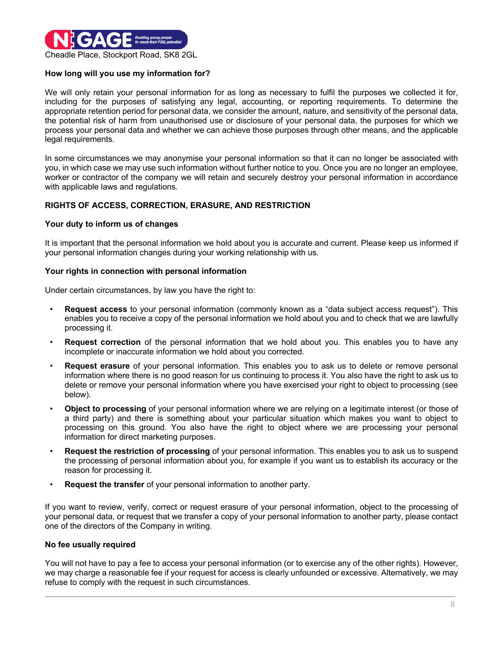

### **How long will you use my information for?**

We will only retain your personal information for as long as necessary to fulfil the purposes we collected it for, including for the purposes of satisfying any legal, accounting, or reporting requirements. To determine the appropriate retention period for personal data, we consider the amount, nature, and sensitivity of the personal data, the potential risk of harm from unauthorised use or disclosure of your personal data, the purposes for which we process your personal data and whether we can achieve those purposes through other means, and the applicable legal requirements.

In some circumstances we may anonymise your personal information so that it can no longer be associated with you, in which case we may use such information without further notice to you. Once you are no longer an employee, worker or contractor of the company we will retain and securely destroy your personal information in accordance with applicable laws and regulations.

## **RIGHTS OF ACCESS, CORRECTION, ERASURE, AND RESTRICTION**

#### **Your duty to inform us of changes**

It is important that the personal information we hold about you is accurate and current. Please keep us informed if your personal information changes during your working relationship with us.

#### **Your rights in connection with personal information**

Under certain circumstances, by law you have the right to:

- **Request access** to your personal information (commonly known as a "data subject access request"). This enables you to receive a copy of the personal information we hold about you and to check that we are lawfully processing it.
- **Request correction** of the personal information that we hold about you. This enables you to have any incomplete or inaccurate information we hold about you corrected.
- **Request erasure** of your personal information. This enables you to ask us to delete or remove personal information where there is no good reason for us continuing to process it. You also have the right to ask us to delete or remove your personal information where you have exercised your right to object to processing (see below).
- **Object to processing** of your personal information where we are relying on a legitimate interest (or those of a third party) and there is something about your particular situation which makes you want to object to processing on this ground. You also have the right to object where we are processing your personal information for direct marketing purposes.
- **Request the restriction of processing** of your personal information. This enables you to ask us to suspend the processing of personal information about you, for example if you want us to establish its accuracy or the reason for processing it.
- **Request the transfer** of your personal information to another party.

If you want to review, verify, correct or request erasure of your personal information, object to the processing of your personal data, or request that we transfer a copy of your personal information to another party, please contact one of the directors of the Company in writing.

#### **No fee usually required**

You will not have to pay a fee to access your personal information (or to exercise any of the other rights). However, we may charge a reasonable fee if your request for access is clearly unfounded or excessive. Alternatively, we may refuse to comply with the request in such circumstances.